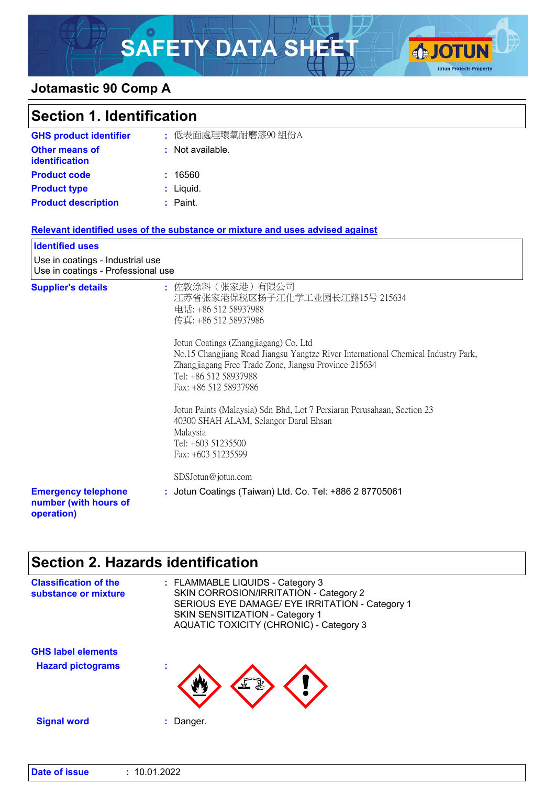# SAFETY DATA SHEET **OF JOTUN**



### **Jotamastic 90 Comp A**

| <b>Section 1. Identification</b>                                       |                                                                                                                                                                                                                                                                                                                                                                                                                                                                                                                                              |
|------------------------------------------------------------------------|----------------------------------------------------------------------------------------------------------------------------------------------------------------------------------------------------------------------------------------------------------------------------------------------------------------------------------------------------------------------------------------------------------------------------------------------------------------------------------------------------------------------------------------------|
| <b>GHS product identifier</b>                                          | : 低表面處理環氧耐磨漆90 組份A                                                                                                                                                                                                                                                                                                                                                                                                                                                                                                                           |
| <b>Other means of</b><br><b>identification</b>                         | : Not available.                                                                                                                                                                                                                                                                                                                                                                                                                                                                                                                             |
| <b>Product code</b>                                                    | : 16560                                                                                                                                                                                                                                                                                                                                                                                                                                                                                                                                      |
| <b>Product type</b>                                                    | : Liquid.                                                                                                                                                                                                                                                                                                                                                                                                                                                                                                                                    |
| <b>Product description</b>                                             | $:$ Paint.                                                                                                                                                                                                                                                                                                                                                                                                                                                                                                                                   |
|                                                                        | Relevant identified uses of the substance or mixture and uses advised against                                                                                                                                                                                                                                                                                                                                                                                                                                                                |
| <b>Identified uses</b>                                                 |                                                                                                                                                                                                                                                                                                                                                                                                                                                                                                                                              |
| Use in coatings - Industrial use<br>Use in coatings - Professional use |                                                                                                                                                                                                                                                                                                                                                                                                                                                                                                                                              |
| <b>Supplier's details</b>                                              | : 佐敦涂料(张家港)有限公司<br>江苏省张家港保税区扬子江化学工业园长江路15号 215634<br>电话: +86 512 58937988<br>传真: +86 512 58937986<br>Jotun Coatings (Zhangjiagang) Co. Ltd<br>No.15 Changjiang Road Jiangsu Yangtze River International Chemical Industry Park,<br>Zhangjiagang Free Trade Zone, Jiangsu Province 215634<br>Tel: +86 512 58937988<br>Fax: +86 512 58937986<br>Jotun Paints (Malaysia) Sdn Bhd, Lot 7 Persiaran Perusahaan, Section 23<br>40300 SHAH ALAM, Selangor Darul Ehsan<br>Malaysia<br>Tel: +603 51235500<br>Fax: +603 51235599<br>SDSJotun@jotun.com |
| <b>Emergency telephone</b><br>number (with hours of<br>operation)      | : Jotun Coatings (Taiwan) Ltd. Co. Tel: +886 2 87705061                                                                                                                                                                                                                                                                                                                                                                                                                                                                                      |

### **Section 2. Hazards identification**

| <b>Classification of the</b><br>substance or mixture | : FLAMMABLE LIQUIDS - Category 3<br>SKIN CORROSION/IRRITATION - Category 2<br>SERIOUS EYE DAMAGE/ EYE IRRITATION - Category 1<br>SKIN SENSITIZATION - Category 1<br><b>AQUATIC TOXICITY (CHRONIC) - Category 3</b> |
|------------------------------------------------------|--------------------------------------------------------------------------------------------------------------------------------------------------------------------------------------------------------------------|
| <b>GHS label elements</b>                            |                                                                                                                                                                                                                    |
| <b>Hazard pictograms</b>                             | ۰<br>٠                                                                                                                                                                                                             |
| <b>Signal word</b>                                   | Danger.                                                                                                                                                                                                            |
|                                                      |                                                                                                                                                                                                                    |

| <b>Date of issue</b> | : 10.01.2022 |
|----------------------|--------------|
|----------------------|--------------|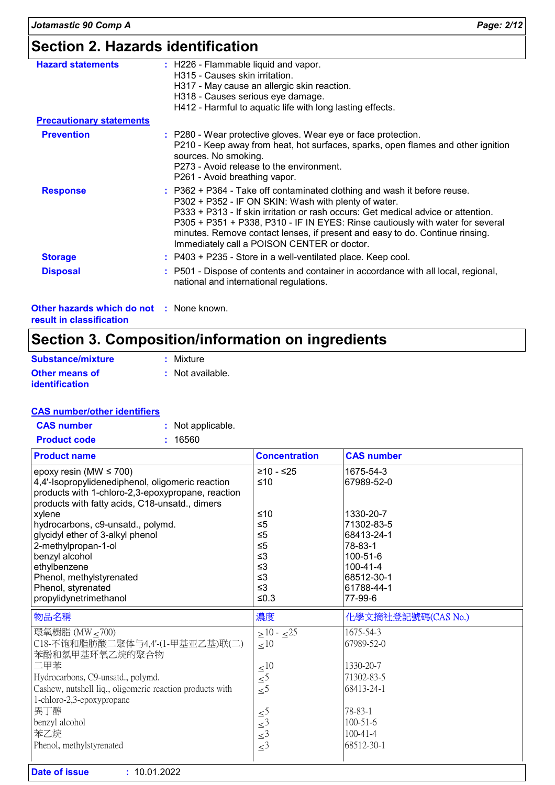### **Section 2. Hazards identification**

| <b>Hazard statements</b>                        | : H226 - Flammable liquid and vapor.<br>H315 - Causes skin irritation.<br>H317 - May cause an allergic skin reaction.<br>H318 - Causes serious eye damage.<br>H412 - Harmful to aquatic life with long lasting effects.                                                                                                                                                                                                                |
|-------------------------------------------------|----------------------------------------------------------------------------------------------------------------------------------------------------------------------------------------------------------------------------------------------------------------------------------------------------------------------------------------------------------------------------------------------------------------------------------------|
| <b>Precautionary statements</b>                 |                                                                                                                                                                                                                                                                                                                                                                                                                                        |
| <b>Prevention</b>                               | : P280 - Wear protective gloves. Wear eye or face protection.<br>P210 - Keep away from heat, hot surfaces, sparks, open flames and other ignition<br>sources. No smoking.<br>P273 - Avoid release to the environment.<br>P261 - Avoid breathing vapor.                                                                                                                                                                                 |
| <b>Response</b>                                 | : P362 + P364 - Take off contaminated clothing and wash it before reuse.<br>P302 + P352 - IF ON SKIN: Wash with plenty of water.<br>P333 + P313 - If skin irritation or rash occurs: Get medical advice or attention.<br>P305 + P351 + P338, P310 - IF IN EYES: Rinse cautiously with water for several<br>minutes. Remove contact lenses, if present and easy to do. Continue rinsing.<br>Immediately call a POISON CENTER or doctor. |
| <b>Storage</b>                                  | : P403 + P235 - Store in a well-ventilated place. Keep cool.                                                                                                                                                                                                                                                                                                                                                                           |
| <b>Disposal</b>                                 | : P501 - Dispose of contents and container in accordance with all local, regional,<br>national and international regulations.                                                                                                                                                                                                                                                                                                          |
| <b>Other hazards which do not : None known.</b> |                                                                                                                                                                                                                                                                                                                                                                                                                                        |

**result in classification**

### **Section 3. Composition/information on ingredients**

| Substance/mixture                              | : Mixture        |
|------------------------------------------------|------------------|
| <b>Other means of</b><br><i>identification</i> | : Not available. |

#### **CAS number/other identifiers**

| <b>CAS number</b>   | : Not applicable. |
|---------------------|-------------------|
| <b>Product code</b> | : 16560           |

| <b>Product name</b>                                      | <b>Concentration</b>                       | <b>CAS number</b>   |
|----------------------------------------------------------|--------------------------------------------|---------------------|
| epoxy resin (MW $\leq$ 700)                              | $≥10 - ≤25$                                | 1675-54-3           |
| 4,4'-Isopropylidenediphenol, oligomeric reaction         | ≤10                                        | 67989-52-0          |
| products with 1-chloro-2,3-epoxypropane, reaction        |                                            |                     |
| products with fatty acids, C18-unsatd., dimers           |                                            |                     |
| xylene                                                   | ≤10                                        | 1330-20-7           |
| hydrocarbons, c9-unsatd., polymd.                        | $\leq 5$                                   | 71302-83-5          |
| glycidyl ether of 3-alkyl phenol                         | $\leq 5$                                   | 68413-24-1          |
| 2-methylpropan-1-ol<br>benzyl alcohol                    | $\leq 5$<br>$\leq$ 3                       | 78-83-1<br>100-51-6 |
| ethylbenzene                                             | $\leq$ 3                                   | $100 - 41 - 4$      |
| Phenol, methylstyrenated                                 | $\leq$ 3                                   | 68512-30-1          |
| Phenol, styrenated                                       | $\leq$ 3                                   | 61788-44-1          |
| propylidynetrimethanol                                   | $≤0.3$                                     | 77-99-6             |
|                                                          |                                            |                     |
| 物品名稱                                                     | 濃度                                         | 化學文摘社登記號碼(CAS No.)  |
|                                                          |                                            | 1675-54-3           |
| 環氧樹脂 (MW < 700)<br>C18-不饱和脂肪酸二聚体与4,4'-(1-甲基亚乙基)联(二)      | $>10 - 25$                                 | 67989-52-0          |
| 苯酚和氯甲基环氧乙烷的聚合物                                           | $\leq 10$                                  |                     |
| 二甲苯                                                      |                                            | 1330-20-7           |
| Hydrocarbons, C9-unsatd., polymd.                        | $\leq 10$                                  | 71302-83-5          |
| Cashew, nutshell liq., oligomeric reaction products with | $\leq 5$                                   | 68413-24-1          |
| 1-chloro-2,3-epoxypropane                                | $\leq 5$                                   |                     |
| 異丁醇                                                      |                                            | 78-83-1             |
| benzyl alcohol                                           | $\leq 5$                                   | $100 - 51 - 6$      |
| 苯乙烷                                                      | $\leq$ <sup>3</sup><br>$\leq$ <sup>3</sup> | $100 - 41 - 4$      |
| Phenol, methylstyrenated                                 | $\leq$ <sup>3</sup>                        | 68512-30-1          |
| <b>Date of issue</b><br>: 10.01.2022                     |                                            |                     |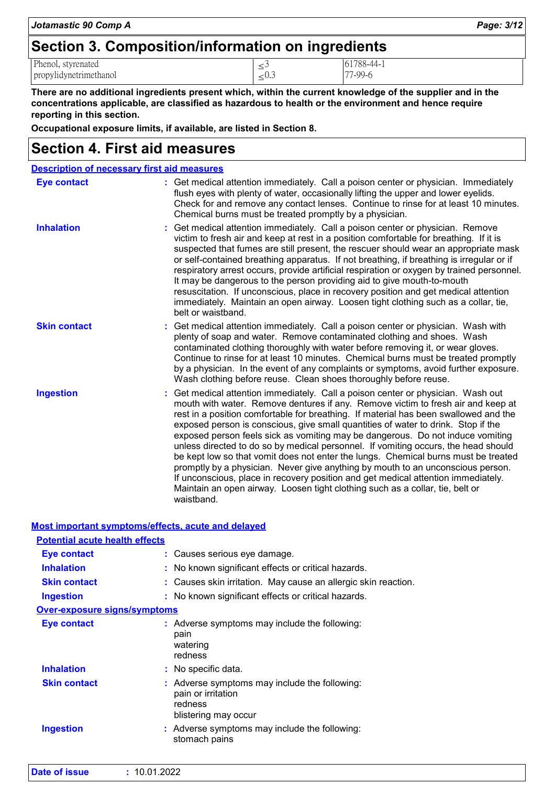| Section 3. Composition/information on ingredients |            |            |  |
|---------------------------------------------------|------------|------------|--|
| Phenol, styrenated                                |            | 61788-44-1 |  |
| propylidynetrimethanol                            | $\leq 0.3$ | 77-99-6    |  |

*Jotamastic 90 Comp A Page: 3/12*

**There are no additional ingredients present which, within the current knowledge of the supplier and in the concentrations applicable, are classified as hazardous to health or the environment and hence require reporting in this section.**

**Occupational exposure limits, if available, are listed in Section 8.**

### **Section 4. First aid measures**

| <b>Description of necessary first aid measures</b> |                                                                                                                                                                                                                                                                                                                                                                                                                                                                                                                                                                                                                                                                                                                                                                                                                                                                                      |
|----------------------------------------------------|--------------------------------------------------------------------------------------------------------------------------------------------------------------------------------------------------------------------------------------------------------------------------------------------------------------------------------------------------------------------------------------------------------------------------------------------------------------------------------------------------------------------------------------------------------------------------------------------------------------------------------------------------------------------------------------------------------------------------------------------------------------------------------------------------------------------------------------------------------------------------------------|
| <b>Eye contact</b>                                 | : Get medical attention immediately. Call a poison center or physician. Immediately<br>flush eyes with plenty of water, occasionally lifting the upper and lower eyelids.<br>Check for and remove any contact lenses. Continue to rinse for at least 10 minutes.<br>Chemical burns must be treated promptly by a physician.                                                                                                                                                                                                                                                                                                                                                                                                                                                                                                                                                          |
| <b>Inhalation</b>                                  | : Get medical attention immediately. Call a poison center or physician. Remove<br>victim to fresh air and keep at rest in a position comfortable for breathing. If it is<br>suspected that fumes are still present, the rescuer should wear an appropriate mask<br>or self-contained breathing apparatus. If not breathing, if breathing is irregular or if<br>respiratory arrest occurs, provide artificial respiration or oxygen by trained personnel.<br>It may be dangerous to the person providing aid to give mouth-to-mouth<br>resuscitation. If unconscious, place in recovery position and get medical attention<br>immediately. Maintain an open airway. Loosen tight clothing such as a collar, tie,<br>belt or waistband.                                                                                                                                                |
| <b>Skin contact</b>                                | : Get medical attention immediately. Call a poison center or physician. Wash with<br>plenty of soap and water. Remove contaminated clothing and shoes. Wash<br>contaminated clothing thoroughly with water before removing it, or wear gloves.<br>Continue to rinse for at least 10 minutes. Chemical burns must be treated promptly<br>by a physician. In the event of any complaints or symptoms, avoid further exposure.<br>Wash clothing before reuse. Clean shoes thoroughly before reuse.                                                                                                                                                                                                                                                                                                                                                                                      |
| <b>Ingestion</b>                                   | Get medical attention immediately. Call a poison center or physician. Wash out<br>mouth with water. Remove dentures if any. Remove victim to fresh air and keep at<br>rest in a position comfortable for breathing. If material has been swallowed and the<br>exposed person is conscious, give small quantities of water to drink. Stop if the<br>exposed person feels sick as vomiting may be dangerous. Do not induce vomiting<br>unless directed to do so by medical personnel. If vomiting occurs, the head should<br>be kept low so that vomit does not enter the lungs. Chemical burns must be treated<br>promptly by a physician. Never give anything by mouth to an unconscious person.<br>If unconscious, place in recovery position and get medical attention immediately.<br>Maintain an open airway. Loosen tight clothing such as a collar, tie, belt or<br>waistband. |

|--|

| <b>Potential acute health effects</b> |                                                                                                        |
|---------------------------------------|--------------------------------------------------------------------------------------------------------|
| Eye contact                           | : Causes serious eye damage.                                                                           |
| <b>Inhalation</b>                     | : No known significant effects or critical hazards.                                                    |
| <b>Skin contact</b>                   | : Causes skin irritation. May cause an allergic skin reaction.                                         |
| <b>Ingestion</b>                      | : No known significant effects or critical hazards.                                                    |
| <b>Over-exposure signs/symptoms</b>   |                                                                                                        |
| Eye contact                           | : Adverse symptoms may include the following:<br>pain<br>watering<br>redness                           |
| <b>Inhalation</b>                     | : No specific data.                                                                                    |
| <b>Skin contact</b>                   | : Adverse symptoms may include the following:<br>pain or irritation<br>redness<br>blistering may occur |
| <b>Ingestion</b>                      | : Adverse symptoms may include the following:<br>stomach pains                                         |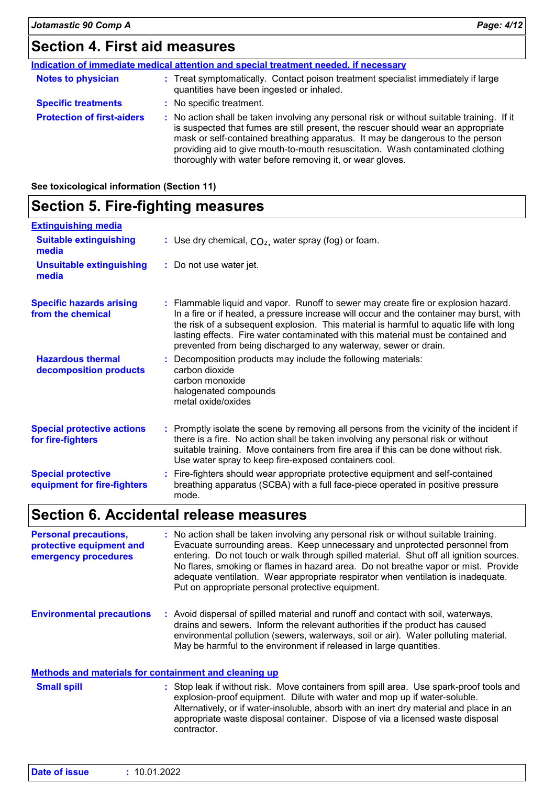### **Section 4. First aid measures**

|                                   | Indication of immediate medical attention and special treatment needed, if necessary                                                                                                                                                                                                                                                                                                                            |  |
|-----------------------------------|-----------------------------------------------------------------------------------------------------------------------------------------------------------------------------------------------------------------------------------------------------------------------------------------------------------------------------------------------------------------------------------------------------------------|--|
| <b>Notes to physician</b>         | : Treat symptomatically. Contact poison treatment specialist immediately if large<br>quantities have been ingested or inhaled.                                                                                                                                                                                                                                                                                  |  |
| <b>Specific treatments</b>        | : No specific treatment.                                                                                                                                                                                                                                                                                                                                                                                        |  |
| <b>Protection of first-aiders</b> | : No action shall be taken involving any personal risk or without suitable training. If it<br>is suspected that fumes are still present, the rescuer should wear an appropriate<br>mask or self-contained breathing apparatus. It may be dangerous to the person<br>providing aid to give mouth-to-mouth resuscitation. Wash contaminated clothing<br>thoroughly with water before removing it, or wear gloves. |  |

**See toxicological information (Section 11)**

### **Section 5. Fire-fighting measures**

| <b>Extinguishing media</b>                               |                                                                                                                                                                                                                                                                                                                                                                                                                                   |
|----------------------------------------------------------|-----------------------------------------------------------------------------------------------------------------------------------------------------------------------------------------------------------------------------------------------------------------------------------------------------------------------------------------------------------------------------------------------------------------------------------|
| <b>Suitable extinguishing</b><br>media                   | : Use dry chemical, $CO2$ , water spray (fog) or foam.                                                                                                                                                                                                                                                                                                                                                                            |
| <b>Unsuitable extinguishing</b><br>media                 | : Do not use water jet.                                                                                                                                                                                                                                                                                                                                                                                                           |
| <b>Specific hazards arising</b><br>from the chemical     | : Flammable liquid and vapor. Runoff to sewer may create fire or explosion hazard.<br>In a fire or if heated, a pressure increase will occur and the container may burst, with<br>the risk of a subsequent explosion. This material is harmful to aquatic life with long<br>lasting effects. Fire water contaminated with this material must be contained and<br>prevented from being discharged to any waterway, sewer or drain. |
| <b>Hazardous thermal</b><br>decomposition products       | : Decomposition products may include the following materials:<br>carbon dioxide<br>carbon monoxide<br>halogenated compounds<br>metal oxide/oxides                                                                                                                                                                                                                                                                                 |
| <b>Special protective actions</b><br>for fire-fighters   | : Promptly isolate the scene by removing all persons from the vicinity of the incident if<br>there is a fire. No action shall be taken involving any personal risk or without<br>suitable training. Move containers from fire area if this can be done without risk.<br>Use water spray to keep fire-exposed containers cool.                                                                                                     |
| <b>Special protective</b><br>equipment for fire-fighters | : Fire-fighters should wear appropriate protective equipment and self-contained<br>breathing apparatus (SCBA) with a full face-piece operated in positive pressure<br>mode.                                                                                                                                                                                                                                                       |

### **Section 6. Accidental release measures**

| <b>Personal precautions,</b><br>protective equipment and<br>emergency procedures |  | : No action shall be taken involving any personal risk or without suitable training.<br>Evacuate surrounding areas. Keep unnecessary and unprotected personnel from<br>entering. Do not touch or walk through spilled material. Shut off all ignition sources.<br>No flares, smoking or flames in hazard area. Do not breathe vapor or mist. Provide<br>adequate ventilation. Wear appropriate respirator when ventilation is inadequate.<br>Put on appropriate personal protective equipment. |
|----------------------------------------------------------------------------------|--|------------------------------------------------------------------------------------------------------------------------------------------------------------------------------------------------------------------------------------------------------------------------------------------------------------------------------------------------------------------------------------------------------------------------------------------------------------------------------------------------|
| <b>Environmental precautions</b>                                                 |  | : Avoid dispersal of spilled material and runoff and contact with soil, waterways,<br>drains and sewers. Inform the relevant authorities if the product has caused<br>environmental pollution (sewers, waterways, soil or air). Water polluting material.                                                                                                                                                                                                                                      |

### **Methods and materials for containment and cleaning up**

Stop leak if without risk. Move containers from spill area. Use spark-proof tools and explosion-proof equipment. Dilute with water and mop up if water-soluble. Alternatively, or if water-insoluble, absorb with an inert dry material and place in an appropriate waste disposal container. Dispose of via a licensed waste disposal contractor. **Small spill :**

May be harmful to the environment if released in large quantities.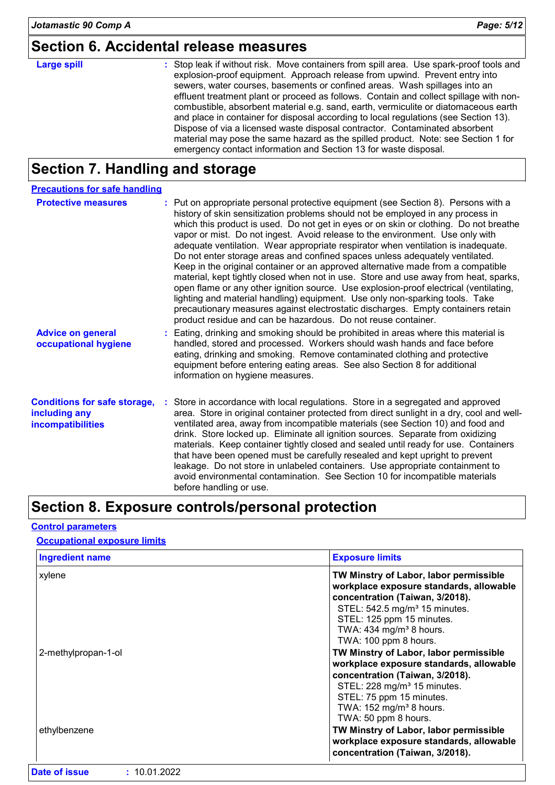### **Section 6. Accidental release measures**

## **Large spill :**

Stop leak if without risk. Move containers from spill area. Use spark-proof tools and explosion-proof equipment. Approach release from upwind. Prevent entry into sewers, water courses, basements or confined areas. Wash spillages into an effluent treatment plant or proceed as follows. Contain and collect spillage with noncombustible, absorbent material e.g. sand, earth, vermiculite or diatomaceous earth and place in container for disposal according to local regulations (see Section 13). Dispose of via a licensed waste disposal contractor. Contaminated absorbent material may pose the same hazard as the spilled product. Note: see Section 1 for emergency contact information and Section 13 for waste disposal.

### **Section 7. Handling and storage**

| <b>Precautions for safe handling</b>                                      |                                                                                                                                                                                                                                                                                                                                                                                                                                                                                                                                                                                                                                                                                                                                                                                                                                                                                                                                                                                                                                |
|---------------------------------------------------------------------------|--------------------------------------------------------------------------------------------------------------------------------------------------------------------------------------------------------------------------------------------------------------------------------------------------------------------------------------------------------------------------------------------------------------------------------------------------------------------------------------------------------------------------------------------------------------------------------------------------------------------------------------------------------------------------------------------------------------------------------------------------------------------------------------------------------------------------------------------------------------------------------------------------------------------------------------------------------------------------------------------------------------------------------|
| <b>Protective measures</b>                                                | : Put on appropriate personal protective equipment (see Section 8). Persons with a<br>history of skin sensitization problems should not be employed in any process in<br>which this product is used. Do not get in eyes or on skin or clothing. Do not breathe<br>vapor or mist. Do not ingest. Avoid release to the environment. Use only with<br>adequate ventilation. Wear appropriate respirator when ventilation is inadequate.<br>Do not enter storage areas and confined spaces unless adequately ventilated.<br>Keep in the original container or an approved alternative made from a compatible<br>material, kept tightly closed when not in use. Store and use away from heat, sparks,<br>open flame or any other ignition source. Use explosion-proof electrical (ventilating,<br>lighting and material handling) equipment. Use only non-sparking tools. Take<br>precautionary measures against electrostatic discharges. Empty containers retain<br>product residue and can be hazardous. Do not reuse container. |
| <b>Advice on general</b><br>occupational hygiene                          | : Eating, drinking and smoking should be prohibited in areas where this material is<br>handled, stored and processed. Workers should wash hands and face before<br>eating, drinking and smoking. Remove contaminated clothing and protective<br>equipment before entering eating areas. See also Section 8 for additional<br>information on hygiene measures.                                                                                                                                                                                                                                                                                                                                                                                                                                                                                                                                                                                                                                                                  |
| <b>Conditions for safe storage,</b><br>including any<br>incompatibilities | : Store in accordance with local regulations. Store in a segregated and approved<br>area. Store in original container protected from direct sunlight in a dry, cool and well-<br>ventilated area, away from incompatible materials (see Section 10) and food and<br>drink. Store locked up. Eliminate all ignition sources. Separate from oxidizing<br>materials. Keep container tightly closed and sealed until ready for use. Containers<br>that have been opened must be carefully resealed and kept upright to prevent<br>leakage. Do not store in unlabeled containers. Use appropriate containment to<br>avoid environmental contamination. See Section 10 for incompatible materials<br>before handling or use.                                                                                                                                                                                                                                                                                                         |

### **Section 8. Exposure controls/personal protection**

#### **Control parameters**

#### **Occupational exposure limits**

| <b>Exposure limits</b>                                                                                                                                                                                                                                         |
|----------------------------------------------------------------------------------------------------------------------------------------------------------------------------------------------------------------------------------------------------------------|
| TW Minstry of Labor, labor permissible<br>workplace exposure standards, allowable<br>concentration (Taiwan, 3/2018).<br>STEL: 542.5 mg/m <sup>3</sup> 15 minutes.<br>STEL: 125 ppm 15 minutes.<br>TWA: 434 mg/m <sup>3</sup> 8 hours.<br>TWA: 100 ppm 8 hours. |
| TW Minstry of Labor, labor permissible<br>workplace exposure standards, allowable<br>concentration (Taiwan, 3/2018).<br>STEL: 228 mg/m <sup>3</sup> 15 minutes.<br>STEL: 75 ppm 15 minutes.<br>TWA: 152 mg/m <sup>3</sup> 8 hours.<br>TWA: 50 ppm 8 hours.     |
| TW Minstry of Labor, labor permissible<br>workplace exposure standards, allowable<br>concentration (Taiwan, 3/2018).                                                                                                                                           |
|                                                                                                                                                                                                                                                                |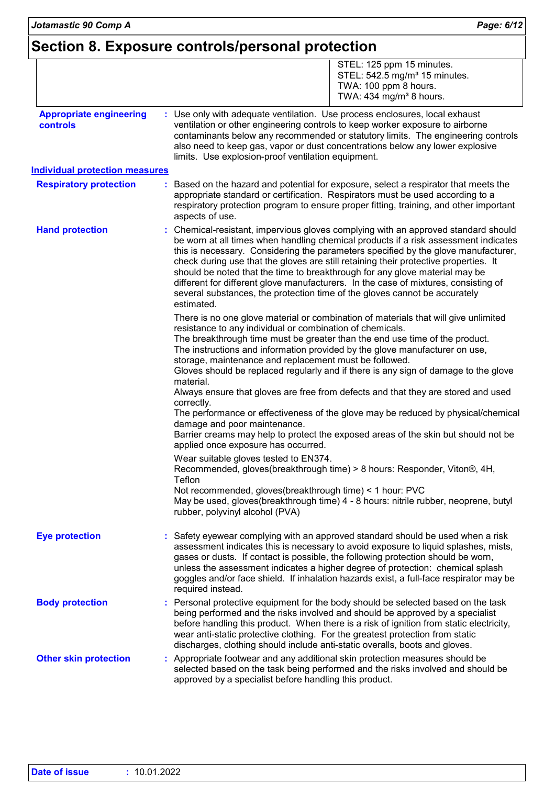### **Section 8. Exposure controls/personal protection**

|                                            | STEL: 125 ppm 15 minutes.<br>STEL: 542.5 mg/m <sup>3</sup> 15 minutes.<br>TWA: 100 ppm 8 hours.<br>TWA: $434$ mg/m <sup>3</sup> 8 hours.                                                                                                                                                                                                                                                                                                                                                                                                                                                                                                                                                                                                                                                                                          |
|--------------------------------------------|-----------------------------------------------------------------------------------------------------------------------------------------------------------------------------------------------------------------------------------------------------------------------------------------------------------------------------------------------------------------------------------------------------------------------------------------------------------------------------------------------------------------------------------------------------------------------------------------------------------------------------------------------------------------------------------------------------------------------------------------------------------------------------------------------------------------------------------|
| <b>Appropriate engineering</b><br>controls | : Use only with adequate ventilation. Use process enclosures, local exhaust<br>ventilation or other engineering controls to keep worker exposure to airborne<br>contaminants below any recommended or statutory limits. The engineering controls<br>also need to keep gas, vapor or dust concentrations below any lower explosive<br>limits. Use explosion-proof ventilation equipment.                                                                                                                                                                                                                                                                                                                                                                                                                                           |
| <b>Individual protection measures</b>      |                                                                                                                                                                                                                                                                                                                                                                                                                                                                                                                                                                                                                                                                                                                                                                                                                                   |
| <b>Respiratory protection</b>              | Based on the hazard and potential for exposure, select a respirator that meets the<br>appropriate standard or certification. Respirators must be used according to a<br>respiratory protection program to ensure proper fitting, training, and other important<br>aspects of use.                                                                                                                                                                                                                                                                                                                                                                                                                                                                                                                                                 |
| <b>Hand protection</b>                     | : Chemical-resistant, impervious gloves complying with an approved standard should<br>be worn at all times when handling chemical products if a risk assessment indicates<br>this is necessary. Considering the parameters specified by the glove manufacturer,<br>check during use that the gloves are still retaining their protective properties. It<br>should be noted that the time to breakthrough for any glove material may be<br>different for different glove manufacturers. In the case of mixtures, consisting of<br>several substances, the protection time of the gloves cannot be accurately<br>estimated.                                                                                                                                                                                                         |
|                                            | There is no one glove material or combination of materials that will give unlimited<br>resistance to any individual or combination of chemicals.<br>The breakthrough time must be greater than the end use time of the product.<br>The instructions and information provided by the glove manufacturer on use,<br>storage, maintenance and replacement must be followed.<br>Gloves should be replaced regularly and if there is any sign of damage to the glove<br>material.<br>Always ensure that gloves are free from defects and that they are stored and used<br>correctly.<br>The performance or effectiveness of the glove may be reduced by physical/chemical<br>damage and poor maintenance.<br>Barrier creams may help to protect the exposed areas of the skin but should not be<br>applied once exposure has occurred. |
|                                            | Wear suitable gloves tested to EN374.<br>Recommended, gloves(breakthrough time) > 8 hours: Responder, Viton®, 4H.<br>Teflon<br>Not recommended, gloves(breakthrough time) < 1 hour: PVC<br>May be used, gloves(breakthrough time) 4 - 8 hours: nitrile rubber, neoprene, butyl<br>rubber, polyvinyl alcohol (PVA)                                                                                                                                                                                                                                                                                                                                                                                                                                                                                                                 |
| <b>Eye protection</b>                      | Safety eyewear complying with an approved standard should be used when a risk<br>assessment indicates this is necessary to avoid exposure to liquid splashes, mists,<br>gases or dusts. If contact is possible, the following protection should be worn,<br>unless the assessment indicates a higher degree of protection: chemical splash<br>goggles and/or face shield. If inhalation hazards exist, a full-face respirator may be<br>required instead.                                                                                                                                                                                                                                                                                                                                                                         |
| <b>Body protection</b>                     | Personal protective equipment for the body should be selected based on the task<br>being performed and the risks involved and should be approved by a specialist<br>before handling this product. When there is a risk of ignition from static electricity,<br>wear anti-static protective clothing. For the greatest protection from static<br>discharges, clothing should include anti-static overalls, boots and gloves.                                                                                                                                                                                                                                                                                                                                                                                                       |
| <b>Other skin protection</b>               | Appropriate footwear and any additional skin protection measures should be<br>selected based on the task being performed and the risks involved and should be<br>approved by a specialist before handling this product.                                                                                                                                                                                                                                                                                                                                                                                                                                                                                                                                                                                                           |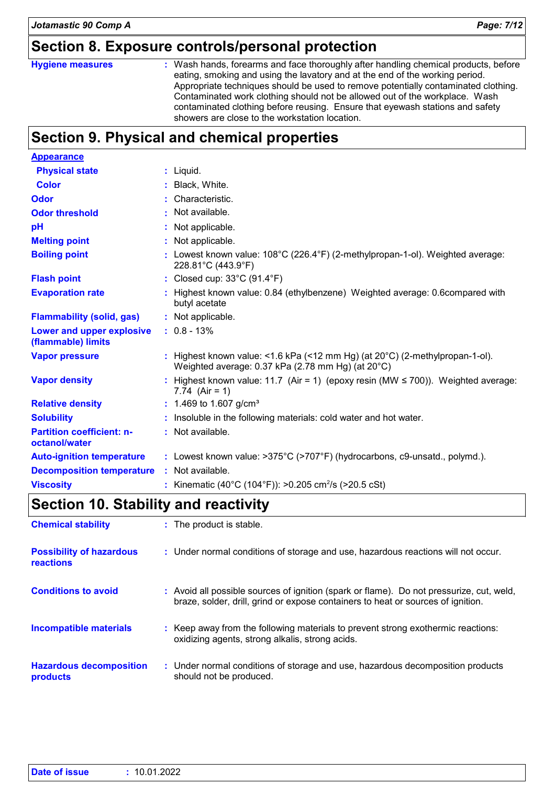### **Section 8. Exposure controls/personal protection**

#### **Hygiene measures :**

Wash hands, forearms and face thoroughly after handling chemical products, before eating, smoking and using the lavatory and at the end of the working period. Appropriate techniques should be used to remove potentially contaminated clothing. Contaminated work clothing should not be allowed out of the workplace. Wash contaminated clothing before reusing. Ensure that eyewash stations and safety showers are close to the workstation location.

### **Section 9. Physical and chemical properties**

| <b>Appearance</b>                                 |                                                  |                                                                                                                                             |
|---------------------------------------------------|--------------------------------------------------|---------------------------------------------------------------------------------------------------------------------------------------------|
| <b>Physical state</b>                             | $:$ Liquid.                                      |                                                                                                                                             |
| <b>Color</b>                                      | : Black, White.                                  |                                                                                                                                             |
| <b>Odor</b>                                       | : Characteristic.                                |                                                                                                                                             |
| <b>Odor threshold</b>                             | : Not available.                                 |                                                                                                                                             |
| рH                                                | : Not applicable.                                |                                                                                                                                             |
| <b>Melting point</b>                              | : Not applicable.                                |                                                                                                                                             |
| <b>Boiling point</b>                              | 228.81°C (443.9°F)                               | : Lowest known value: $108^{\circ}$ C (226.4 $^{\circ}$ F) (2-methylpropan-1-ol). Weighted average:                                         |
| <b>Flash point</b>                                | : Closed cup: $33^{\circ}$ C (91.4 $^{\circ}$ F) |                                                                                                                                             |
| <b>Evaporation rate</b>                           | butyl acetate                                    | : Highest known value: 0.84 (ethylbenzene) Weighted average: 0.6compared with                                                               |
| <b>Flammability (solid, gas)</b>                  | : Not applicable.                                |                                                                                                                                             |
| Lower and upper explosive<br>(flammable) limits   | $: 0.8 - 13%$                                    |                                                                                                                                             |
| <b>Vapor pressure</b>                             |                                                  | : Highest known value: <1.6 kPa (<12 mm Hg) (at $20^{\circ}$ C) (2-methylpropan-1-ol).<br>Weighted average: 0.37 kPa (2.78 mm Hg) (at 20°C) |
| <b>Vapor density</b>                              | 7.74 $(Air = 1)$                                 | : Highest known value: 11.7 (Air = 1) (epoxy resin (MW $\leq$ 700)). Weighted average:                                                      |
| <b>Relative density</b>                           | : 1.469 to 1.607 g/cm <sup>3</sup>               |                                                                                                                                             |
| <b>Solubility</b>                                 |                                                  | : Insoluble in the following materials: cold water and hot water.                                                                           |
| <b>Partition coefficient: n-</b><br>octanol/water | : Not available.                                 |                                                                                                                                             |
| <b>Auto-ignition temperature</b>                  |                                                  | : Lowest known value: >375°C (>707°F) (hydrocarbons, c9-unsatd., polymd.).                                                                  |
| <b>Decomposition temperature</b>                  | : Not available.                                 |                                                                                                                                             |
| <b>Viscosity</b>                                  |                                                  | : Kinematic (40°C (104°F)): >0.205 cm <sup>2</sup> /s (>20.5 cSt)                                                                           |

### **Section 10. Stability and reactivity**

| <b>Chemical stability</b>                           | : The product is stable.                                                                                                                                                     |
|-----------------------------------------------------|------------------------------------------------------------------------------------------------------------------------------------------------------------------------------|
| <b>Possibility of hazardous</b><br><b>reactions</b> | : Under normal conditions of storage and use, hazardous reactions will not occur.                                                                                            |
| <b>Conditions to avoid</b>                          | : Avoid all possible sources of ignition (spark or flame). Do not pressurize, cut, weld,<br>braze, solder, drill, grind or expose containers to heat or sources of ignition. |
| Incompatible materials                              | : Keep away from the following materials to prevent strong exothermic reactions:<br>oxidizing agents, strong alkalis, strong acids.                                          |
| <b>Hazardous decomposition</b><br>products          | : Under normal conditions of storage and use, hazardous decomposition products<br>should not be produced.                                                                    |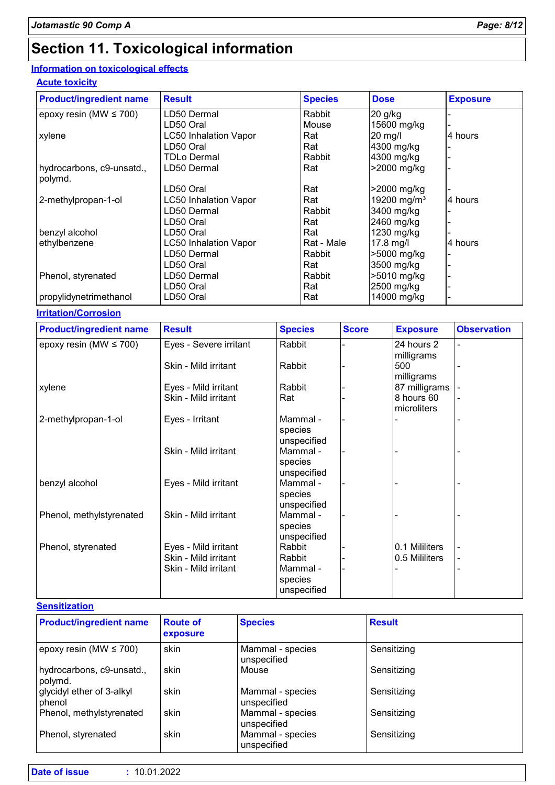### **Section 11. Toxicological information**

#### **Information on toxicological effects**

#### **Acute toxicity**

| <b>Product/ingredient name</b> | <b>Result</b>                | <b>Species</b> | <b>Dose</b>             | <b>Exposure</b> |
|--------------------------------|------------------------------|----------------|-------------------------|-----------------|
| epoxy resin (MW $\leq$ 700)    | LD50 Dermal                  | Rabbit         | 20 g/kg                 |                 |
|                                | LD50 Oral                    | Mouse          | 15600 mg/kg             |                 |
| xylene                         | <b>LC50 Inhalation Vapor</b> | Rat            | $20 \text{ mg/l}$       | 4 hours         |
|                                | LD50 Oral                    | Rat            | 4300 mg/kg              |                 |
|                                | <b>TDLo Dermal</b>           | Rabbit         | 4300 mg/kg              |                 |
| hydrocarbons, c9-unsatd.,      | LD50 Dermal                  | Rat            | >2000 mg/kg             |                 |
| polymd.                        |                              |                |                         |                 |
|                                | LD50 Oral                    | Rat            | >2000 mg/kg             |                 |
| 2-methylpropan-1-ol            | <b>LC50 Inhalation Vapor</b> | Rat            | 19200 mg/m <sup>3</sup> | 4 hours         |
|                                | LD50 Dermal                  | Rabbit         | 3400 mg/kg              |                 |
|                                | LD50 Oral                    | Rat            | 2460 mg/kg              |                 |
| benzyl alcohol                 | LD50 Oral                    | Rat            | 1230 mg/kg              |                 |
| ethylbenzene                   | LC50 Inhalation Vapor        | Rat - Male     | 17.8 mg/l               | 4 hours         |
|                                | LD50 Dermal                  | Rabbit         | >5000 mg/kg             |                 |
|                                | LD50 Oral                    | Rat            | 3500 mg/kg              |                 |
| Phenol, styrenated             | LD50 Dermal                  | Rabbit         | >5010 mg/kg             |                 |
|                                | LD50 Oral                    | Rat            | 2500 mg/kg              |                 |
| propylidynetrimethanol         | LD50 Oral                    | Rat            | 14000 mg/kg             |                 |

**Irritation/Corrosion**

| <b>Product/ingredient name</b> | <b>Result</b>          | <b>Species</b> | <b>Score</b> | <b>Exposure</b> | <b>Observation</b> |
|--------------------------------|------------------------|----------------|--------------|-----------------|--------------------|
| epoxy resin (MW $\leq$ 700)    | Eyes - Severe irritant | Rabbit         |              | 24 hours 2      |                    |
|                                |                        |                |              | milligrams      |                    |
|                                | Skin - Mild irritant   | Rabbit         |              | 500             |                    |
|                                |                        |                |              | milligrams      |                    |
| xylene                         | Eyes - Mild irritant   | Rabbit         |              | 87 milligrams   |                    |
|                                | Skin - Mild irritant   | Rat            |              | 8 hours 60      |                    |
|                                |                        |                |              | microliters     |                    |
| 2-methylpropan-1-ol            | Eyes - Irritant        | Mammal -       |              |                 |                    |
|                                |                        | species        |              |                 |                    |
|                                |                        | unspecified    |              |                 |                    |
|                                | Skin - Mild irritant   | Mammal -       |              |                 |                    |
|                                |                        | species        |              |                 |                    |
|                                |                        | unspecified    |              |                 |                    |
| benzyl alcohol                 | Eyes - Mild irritant   | Mammal -       |              |                 |                    |
|                                |                        | species        |              |                 |                    |
|                                |                        | unspecified    |              |                 |                    |
| Phenol, methylstyrenated       | Skin - Mild irritant   | Mammal -       |              |                 |                    |
|                                |                        | species        |              |                 |                    |
|                                |                        | unspecified    |              |                 |                    |
| Phenol, styrenated             | Eyes - Mild irritant   | Rabbit         |              | 0.1 Mililiters  | ۰                  |
|                                | Skin - Mild irritant   | Rabbit         |              | 0.5 Mililiters  | ۰                  |
|                                | Skin - Mild irritant   | Mammal -       |              |                 | -                  |
|                                |                        | species        |              |                 |                    |
|                                |                        | unspecified    |              |                 |                    |

#### **Sensitization**

| <b>Product/ingredient name</b>       | <b>Route of</b><br>exposure | <b>Species</b>                  | <b>Result</b> |
|--------------------------------------|-----------------------------|---------------------------------|---------------|
| epoxy resin (MW $\leq$ 700)          | skin                        | Mammal - species<br>unspecified | Sensitizing   |
| hydrocarbons, c9-unsatd.,<br>polymd. | skin                        | Mouse                           | Sensitizing   |
| glycidyl ether of 3-alkyl<br>phenol  | skin                        | Mammal - species<br>unspecified | Sensitizing   |
| Phenol, methylstyrenated             | skin                        | Mammal - species<br>unspecified | Sensitizing   |
| Phenol, styrenated                   | skin                        | Mammal - species<br>unspecified | Sensitizing   |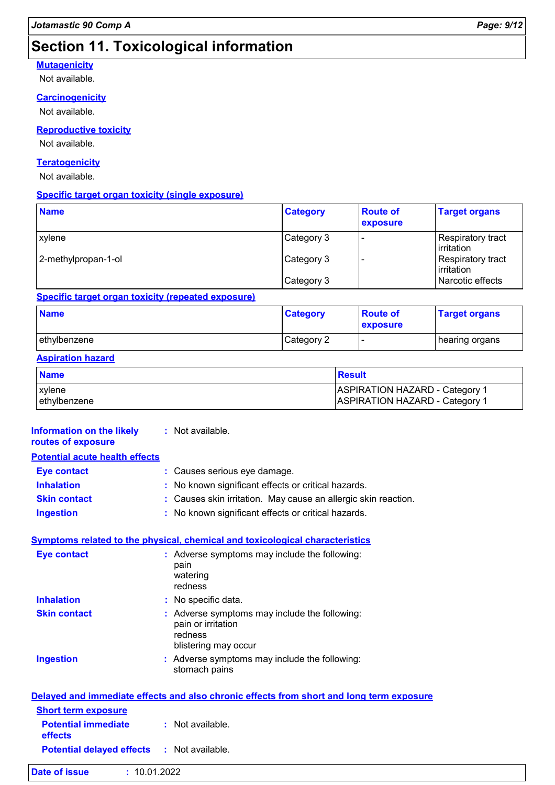### **Section 11. Toxicological information**

#### **Mutagenicity**

Not available.

#### **Carcinogenicity**

Not available.

#### **Reproductive toxicity**

Not available.

#### **Teratogenicity**

Not available.

#### **Specific target organ toxicity (single exposure)**

| <b>Name</b>         | <b>Category</b> | <b>Route of</b><br>exposure | <b>Target organs</b>                     |
|---------------------|-----------------|-----------------------------|------------------------------------------|
| xylene              | Category 3      |                             | <b>Respiratory tract</b><br>l irritation |
| 2-methylpropan-1-ol | Category 3      |                             | Respiratory tract<br>irritation          |
|                     | Category 3      |                             | Narcotic effects                         |

#### **Specific target organ toxicity (repeated exposure)**

| <b>Name</b>   | <b>Category</b> | <b>Route of</b><br>exposure | <b>Target organs</b> |
|---------------|-----------------|-----------------------------|----------------------|
| lethvlbenzene | Category 2      | . .                         | hearing organs       |

#### **Aspiration hazard**

| <b>Name</b>  | <b>Result</b>                         |
|--------------|---------------------------------------|
| xylene       | ASPIRATION HAZARD - Category 1        |
| ethylbenzene | <b>ASPIRATION HAZARD - Category 1</b> |

| Information on the likely<br>routes of exposure   | : Not available.                                                                                       |
|---------------------------------------------------|--------------------------------------------------------------------------------------------------------|
| <b>Potential acute health effects</b>             |                                                                                                        |
| <b>Eye contact</b>                                | : Causes serious eye damage.                                                                           |
| <b>Inhalation</b>                                 | : No known significant effects or critical hazards.                                                    |
| <b>Skin contact</b>                               | Causes skin irritation. May cause an allergic skin reaction.                                           |
| <b>Ingestion</b>                                  | : No known significant effects or critical hazards.                                                    |
|                                                   | Symptoms related to the physical, chemical and toxicological characteristics                           |
| <b>Eye contact</b>                                | : Adverse symptoms may include the following:<br>pain<br>watering<br>redness                           |
| <b>Inhalation</b>                                 | : No specific data.                                                                                    |
| <b>Skin contact</b>                               | : Adverse symptoms may include the following:<br>pain or irritation<br>redness<br>blistering may occur |
| <b>Ingestion</b>                                  | : Adverse symptoms may include the following:<br>stomach pains                                         |
|                                                   | Delayed and immediate effects and also chronic effects from short and long term exposure               |
| <b>Short term exposure</b>                        |                                                                                                        |
| <b>Potential immediate</b><br>effects             | : Not available.                                                                                       |
| <b>Potential delayed effects : Not available.</b> |                                                                                                        |
| Date of issue<br>: 10.01.2022                     |                                                                                                        |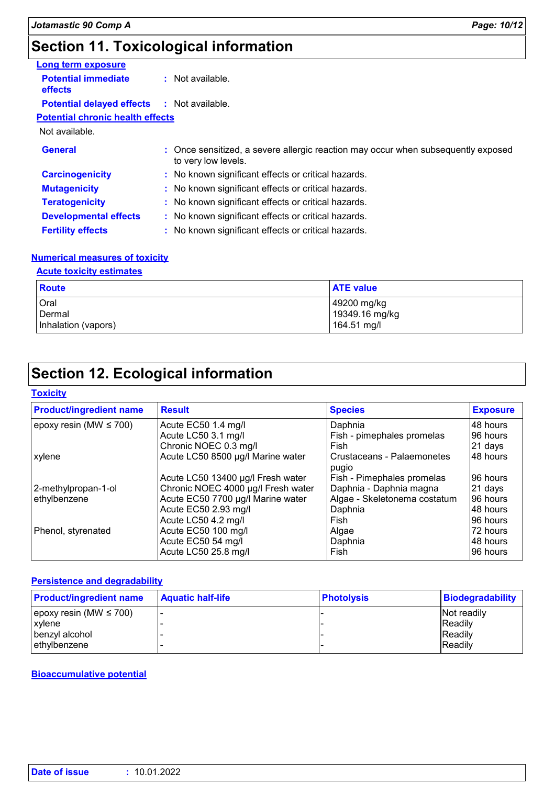### **Section 11. Toxicological information**

| Long term exposure                                |                                                                                                          |
|---------------------------------------------------|----------------------------------------------------------------------------------------------------------|
| <b>Potential immediate</b><br>effects             | : Not available.                                                                                         |
| <b>Potential delayed effects : Not available.</b> |                                                                                                          |
| <b>Potential chronic health effects</b>           |                                                                                                          |
| Not available.                                    |                                                                                                          |
| <b>General</b>                                    | : Once sensitized, a severe allergic reaction may occur when subsequently exposed<br>to very low levels. |
| <b>Carcinogenicity</b>                            | : No known significant effects or critical hazards.                                                      |
| <b>Mutagenicity</b>                               | : No known significant effects or critical hazards.                                                      |
| <b>Teratogenicity</b>                             | : No known significant effects or critical hazards.                                                      |
| <b>Developmental effects</b>                      | : No known significant effects or critical hazards.                                                      |
| <b>Fertility effects</b>                          | : No known significant effects or critical hazards.                                                      |

#### **Numerical measures of toxicity**

#### **Acute toxicity estimates**

| <b>Route</b>        | <b>ATE value</b>              |
|---------------------|-------------------------------|
| Oral<br>Dermal      | 49200 mg/kg<br>19349.16 mg/kg |
| Inhalation (vapors) | 164.51 mg/l                   |

### **Section 12. Ecological information**

#### **Toxicity**

| <b>Product/ingredient name</b> | <b>Result</b>                      | <b>Species</b>                      | <b>Exposure</b> |
|--------------------------------|------------------------------------|-------------------------------------|-----------------|
| epoxy resin (MW $\leq$ 700)    | Acute EC50 1.4 mg/l                | Daphnia                             | 48 hours        |
|                                | Acute LC50 3.1 mg/l                | Fish - pimephales promelas          | 96 hours        |
|                                | Chronic NOEC 0.3 mg/l              | Fish                                | 21 days         |
| xylene                         | Acute LC50 8500 µg/l Marine water  | Crustaceans - Palaemonetes<br>pugio | 48 hours        |
|                                | Acute LC50 13400 µg/l Fresh water  | Fish - Pimephales promelas          | 96 hours        |
| 2-methylpropan-1-ol            | Chronic NOEC 4000 µg/l Fresh water | Daphnia - Daphnia magna             | 21 days         |
| ethylbenzene                   | Acute EC50 7700 µg/l Marine water  | Algae - Skeletonema costatum        | 96 hours        |
|                                | Acute EC50 2.93 mg/l               | Daphnia                             | 48 hours        |
|                                | Acute LC50 4.2 mg/l                | Fish                                | 96 hours        |
| Phenol, styrenated             | Acute EC50 100 mg/l                | Algae                               | 72 hours        |
|                                | Acute EC50 54 mg/l                 | Daphnia                             | 48 hours        |
|                                | Acute LC50 25.8 mg/l               | Fish                                | 96 hours        |

#### **Persistence and degradability**

| <b>Product/ingredient name</b> | <b>Aquatic half-life</b> | <b>Photolysis</b> | <b>Biodegradability</b> |
|--------------------------------|--------------------------|-------------------|-------------------------|
| epoxy resin (MW $\leq 700$ )   |                          |                   | Not readily             |
| xylene                         |                          |                   | <b>IReadily</b>         |
| I benzyl alcohol               |                          |                   | <b>Readily</b>          |
| ethylbenzene                   |                          |                   | <b>IReadily</b>         |

#### **Bioaccumulative potential**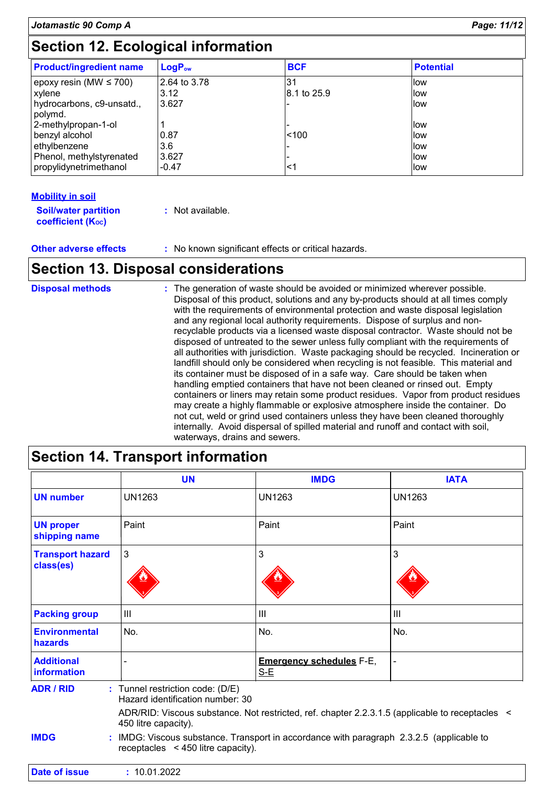### **Section 12. Ecological information**

| <b>Product/ingredient name</b>       | $LogP_{ow}$  | <b>BCF</b>  | <b>Potential</b> |
|--------------------------------------|--------------|-------------|------------------|
| epoxy resin (MW $\leq$ 700)          | 2.64 to 3.78 | 31          | llow             |
| xylene                               | 3.12         | 8.1 to 25.9 | <b>llow</b>      |
| hydrocarbons, c9-unsatd.,<br>polymd. | 3.627        |             | llow.            |
| 2-methylpropan-1-ol                  |              |             | llow             |
| benzyl alcohol                       | 0.87         | < 100       | <b>llow</b>      |
| ethylbenzene                         | 3.6          |             | <b>llow</b>      |
| Phenol, methylstyrenated             | 3.627        |             | <b>llow</b>      |
| propylidynetrimethanol               | $-0.47$      | <1          | <b>llow</b>      |

#### **Mobility in soil**

| <b>Soil/water partition</b> | : Not available. |
|-----------------------------|------------------|
| <b>coefficient (Koc)</b>    |                  |

**Other adverse effects** : No known significant effects or critical hazards.

### **Section 13. Disposal considerations**

| <b>Disposal methods</b> | : The generation of waste should be avoided or minimized wherever possible.<br>Disposal of this product, solutions and any by-products should at all times comply<br>with the requirements of environmental protection and waste disposal legislation<br>and any regional local authority requirements. Dispose of surplus and non-<br>recyclable products via a licensed waste disposal contractor. Waste should not be<br>disposed of untreated to the sewer unless fully compliant with the requirements of<br>all authorities with jurisdiction. Waste packaging should be recycled. Incineration or<br>landfill should only be considered when recycling is not feasible. This material and<br>its container must be disposed of in a safe way. Care should be taken when<br>handling emptied containers that have not been cleaned or rinsed out. Empty<br>containers or liners may retain some product residues. Vapor from product residues<br>may create a highly flammable or explosive atmosphere inside the container. Do<br>not cut, weld or grind used containers unless they have been cleaned thoroughly<br>internally. Avoid dispersal of spilled material and runoff and contact with soil, |
|-------------------------|---------------------------------------------------------------------------------------------------------------------------------------------------------------------------------------------------------------------------------------------------------------------------------------------------------------------------------------------------------------------------------------------------------------------------------------------------------------------------------------------------------------------------------------------------------------------------------------------------------------------------------------------------------------------------------------------------------------------------------------------------------------------------------------------------------------------------------------------------------------------------------------------------------------------------------------------------------------------------------------------------------------------------------------------------------------------------------------------------------------------------------------------------------------------------------------------------------------|
|                         | waterways, drains and sewers.                                                                                                                                                                                                                                                                                                                                                                                                                                                                                                                                                                                                                                                                                                                                                                                                                                                                                                                                                                                                                                                                                                                                                                                 |

### **Section 14. Transport information**

|                                                                                                                         | <b>UN</b>                                                                                                                           | <b>IMDG</b>                              | <b>IATA</b>    |
|-------------------------------------------------------------------------------------------------------------------------|-------------------------------------------------------------------------------------------------------------------------------------|------------------------------------------|----------------|
| <b>UN number</b>                                                                                                        | <b>UN1263</b>                                                                                                                       | <b>UN1263</b>                            | <b>UN1263</b>  |
| <b>UN proper</b><br>shipping name                                                                                       | Paint                                                                                                                               | Paint                                    | Paint          |
| <b>Transport hazard</b><br>class(es)                                                                                    | $\mathbf{3}$                                                                                                                        | 3                                        | 3              |
| <b>Packing group</b>                                                                                                    | III                                                                                                                                 | III                                      | III            |
| <b>Environmental</b><br>hazards                                                                                         | No.                                                                                                                                 | No.                                      | No.            |
| <b>Additional</b><br>information                                                                                        |                                                                                                                                     | <b>Emergency schedules F-E,</b><br>$S-E$ | $\blacksquare$ |
| <b>ADR / RID</b>                                                                                                        | : Tunnel restriction code: (D/E)<br>Hazard identification number: 30                                                                |                                          |                |
| ADR/RID: Viscous substance. Not restricted, ref. chapter 2.2.3.1.5 (applicable to receptacles <<br>450 litre capacity). |                                                                                                                                     |                                          |                |
| <b>IMDG</b>                                                                                                             | : IMDG: Viscous substance. Transport in accordance with paragraph 2.3.2.5 (applicable to<br>receptacles $\leq$ 450 litre capacity). |                                          |                |
| <b>Date of issue</b>                                                                                                    | : 10.01.2022                                                                                                                        |                                          |                |